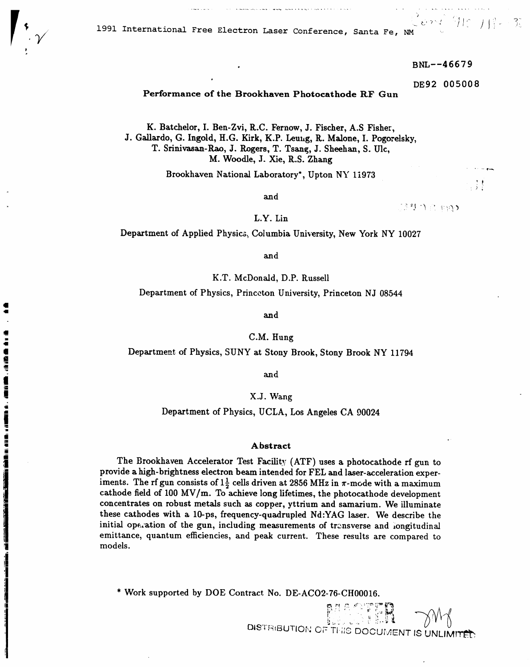

1<br>4

1991 International Free Electron Laser Conference, Santa Fe, NM

BNL--46679

DE92 005008

カヒーナ ピー

 $\frac{1}{2}$ 

# Performance of the Brookhaven Photocathode RF Gun

K. Batchelor, I. Ben-Zvi, R.C. Fernow, J. Fischer, A.S Fisher, J. Gallardo, G. Ingold, H.G. Kirk, K.P. Leung, R. Malone, I. Pogorelsky, T. Srinivasan-Rao, J. Rogers, T. Tsang, J. Sheehan, S. Ulc, M. Woodle, J. Xie, R.S. Zhang

Brookhaven National Laboratory\*, Upton NY 11973

and

ぼりのの やめ

L.Y. Lin

Department of Applied Physics, Columbia University, New York NY 10027

and

K.T. McDonald, D.P. Russell

Department of Physics, Princeton University, Princeton NJ 08544

and

C.M. Hung

Department of Physics, SUNY at Stony Brook, Stony Brook NY 11794

and

## X.J. Wang

Department of Physics, UCLA, Los Angeles CA 90024

### Abstract

The Brookhaven Accelerator Test Facility (ATF) uses a photocathode rf gun to provide a high-brightness electron beam intended for FEL and laser-acceleration experiments. The rf gun consists of  $1\frac{1}{2}$  cells driven at 2856 MHz in  $\pi$ -mode with a maximum cathode field of 100 MV/m. To achieve long lifetimes, the photocathode development concentrates on robust metals such as copper, yttrium and samarium. We illuminate these cathodes with a 10-ps, frequency-quadrupled Nd:YAG laser. We describe the initial operation of the gun, including measurements of transverse and iongitudinal emittance, quantum efficiencies, and peak current. These results are compared to models.

\* Work supported by DOE Contract No. DE-ACO2-76-CH00016.

**BACKER** DISTRIBUTION OF THIS DOCUMENT IS UNLIMITED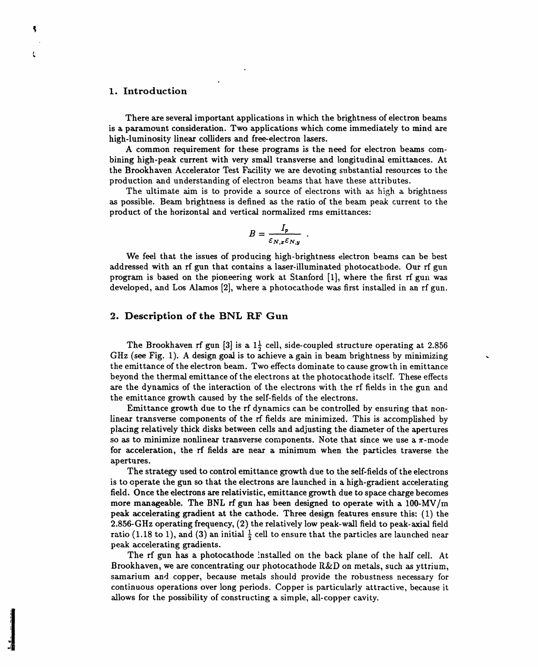### **1. Introdu**c**tion**

t

-t

There are several important applications in which the brightness of electron beams is a paramount consideration. Two applications which come immediately to mind are **hi**g**h**-**lu**m**ino**s**i**ty l**inear col**li**ders** a**nd free-electron la**s**ers.**

**A common requiremen**t **for** th**ese pro**g**r**am**s is** th**e nee**d **for electron** b**eams com**b**inin**g **hi**g**h-pe**a**k current** w**ith ver**y sm**all tr**ans**ver**s**e** a**nd lon**g**itudin**al **emitt**an**ce**s**. A**t the Brookhaven Accelerator Test Facility we are devoting substantial resources to the **production and u**n**derst**a**ndin**g **of** e**lectro**n b**e**am**s th**a**t h**a**ve the**s**e** a**t**t**ri**b**utes.**

T**he ulti**ma**te** aim **is to provide** a **source of electrons** w**ith** as high a b**ri**g**ht**n**ess** as possible. Beam brightness is defined as the ratio of the beam peak current to the **product of the horizontal** an**d vertic**al **norm**al**ized r**m**s emi**t**t**a**nces:**

$$
B=\frac{I_p}{\varepsilon_{N,x}\varepsilon_{N,y}}
$$

**We f**ee**l th**a**t the i**s**sues of prod**u**cing** h**igh**-**brightness** el**e**c**tron be**ams **c**a**n be best** addressed with an rf gun that contains a laser-illuminated photocathode. Our rf gun program is based on the pioneering work at Stanford [1], where the first rf gun was developed, and Los Alamos [2], where a photocathode was first installed in an rf gun.

# **2. Description of the BNL RF Gun**

The Brookhaven **rf** gun [3] is a  $1\frac{1}{2}$  cell, side-coupled structure operating at 2.856 GHz (see Fig. 1). A design goal is to achieve a gain in beam brightness by minimizing **t**he emi**tt**ance **o**f **t**he elec**t**r**o**n beam. Tw**o** effec**t**s d**o**mina**t**e **to** caus**e** gr**o**w**t**h **i**n em**itt**a**n**ce bey**o**nd **t**he **t**he**r**mal emi**tt**a**nc**e **o**f **t**he elec**t**r**o**ns a**t t**he ph**otocat**h**o**de **it**self. Thes**e** effec**t**s are **t**he dynami**c**s **o**f **t**he **i**n**t**era**ctio**n **o**f **t**he elec**t**r**o**ns w**it**h **t**he rf fields **i**n **t**he gun and **t**he emi**tt**ance g**ro**w**t**h ca**u**sed by **t**he self**-**fields **o**f **t**he elec**t**r**o**ns.

Emi**tt**an**c**e g**ro**w**t**h due **to t**he rf dynamics can be c**o**n**t**r**o**lled by ensur**i**ng **t**ha**t** n**o**nli**n**ea**r t**ra**n**sv**e**rse c**o**m**po**nen**t**s **o**f **t**he rf fields a**r**e minimized. This i*s* acc**o**mplished by **p**la**c**i**n**g rela**t**ively **t**hi**c**k disk**s** b**et**ween cell**s** and a**d**j**u**s**t**ing **t**he diame**te**r **o**f **t**he a**p**er**tu**res s**o** as **to** minimize n**on**linear **tr**ansver**s**e c**o**m**po**nen**t**s. N**ot**e **t**ha**t** s**in**ce we use a T**r**-m**o**de f**o**r ac**c**ele**r**a**t**i**o**n, **t**he **r**f fiel**d**s a*x*e **nea**r a minim**u**m whe**n t**he **p**ar**t**i**c**les **t**raverse **t**he a**p**e**rt**u**r**es.

The s**tr**a**t**egy **us**ed **to co**n**tro**l emi**tt**a**nc**e g**ro**w**t**h **du**e **to t**he self-fields **o**f **t**he elec**t**r**o**ns **i**s **to op**e**r**a**t**e the gun s**o t**ha**t t**he ele**ctro**ns are la**u**n**c**hed **i**n a h**i**gh-gradien**t** a**cce**le**r**a**t**ing field. Once the electrons are relativistic, emittance growth due to space charge becomes m**ore** man**a**g**e**abl**e**. Th**e** BN*L* **r**f g**u**n ha*s* b**e**en design**ed to op**e**r**a**t**e wi**t**h a 1**00**-MV*/*m **p**eak ac**c**ele**rat**ing g**radie**n**t** a**t t**h**e c**a**t**h**o**de. Three des**i**gn fea**tur**es ens**ur**e **t**h**i**s**:** (1) **t**he **2**.856-G**Hz o**pe**r**a**t**ing f**r**eq**u**en**c**y, (**2**) **t**he rela**ti**v**e**ly l**o**w **p**eak-wall field **to p**eak-a**x**ial field ratio (1.18 to 1), and (3) an initial  $\frac{1}{2}$  cell to ensure that the particles are launched near peak accel**e**rating gradi**e**nts.

Th**e** rf gun has a **p**hotoc**a**thod**e** "nstall**e**d on th**e** back plane of the half c**e**ll. At Brookhaven, we ar**e c**on**c**entrating our photo**c**athod*e* I\_&*D* o**n** metals, s**u**ch a*s* yttrium, samarium and co**p**per, b*e*cause m**e**tals should provid*e* th*e* robus**t**ness nec**e**ssary for continuous operations ov**e**r long periods. Copper is particularly attractive, because it allows for the **p**ossibility of constru**c**ting a simple, all-copp**e**r cavity.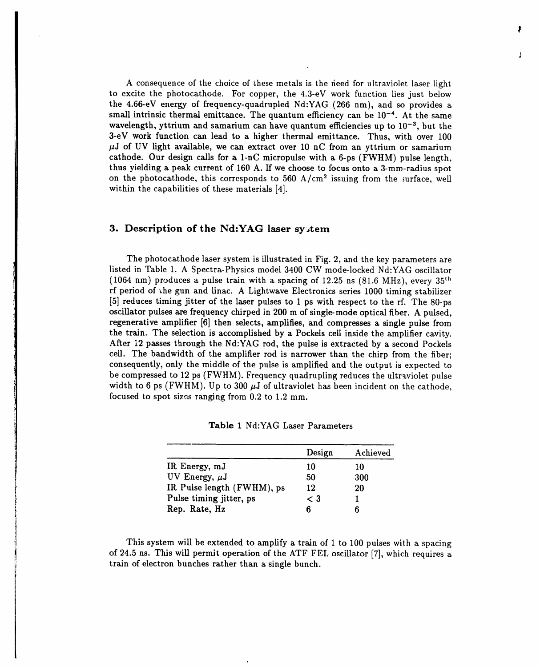A consequence of the choice of these metals is the fieed for ultraviolet laser light to excite the photocathode. For copper, the 4.3-eV work function lies just below the 4.66-eV energy of frequency-quadrupled Nd:YAG (266 nm), and so provides a small intrinsic thermal emittance. The quantum efficiency can be  $10^{-4}$ . At the same w**a**velength**,** yttriu**m** and s**a**m**a**rium **ca**n h**a**v**e** qu**a**ntum effi**c**ien**c**ies up to 1**0** -**3,** but the 3-eV work fu**n**ction ca**n** le**a**d to a higher thermal emitt**a**nce. Thus, with over 100 #J of UV light **a**v**a**ilable, we can extr**a**ct over 10 nC from **a**n yttrium or s**a**m**a**rium c**a**thode. Our design calls for a 1-nC micropulse with **a** 6-ps (FWHM) pulse length, thus yielding **a** pe**a**k current of 160 A. If we choose to focus onto **a** 3-mm-r**a**dius spot on the photocathode, this corresponds to  $560 \text{ A/cm}^2$  issuing from the surface, well within the c**a**pabilities of these m**a**terials [4].

# **3. D**e**scription of th**e **Nd:YAG las**e**r sy***,***t**e**m**

The photo**c**athode laser system is illustrated in Fig. 2, and the key par**a**meters are listed in T**a**ble 1. A Spectr**a**-Physics model 3400 CW mode-locked Nd:YAG oscillator (1064 nm) produces a pulse tr**a**in with a sp**a**cing of 12.25 ns (81.6 MHz), every 35th rf period of the gun and lin**a**c. A Lightw**a**ve Electronics series 1000 timing stabilizer [5] reduces timing jitter of the laser pulses to 1 ps with respect to the rf. The 80-ps oscillator pulses are frequency chirped in 200 m of single-mode optical fiber. A pulsed, regener**a**tive **a**mplifier [6] then selects, **a**mplifie**s**, **a**nd compresses a single pulse from the trai**n**. The selection is accomplished by **a** Pockels cell inside the **a**mplifier c**a**vity. After 12 pa**s**ses through the Nd:YAG rod, the pulse is extr**a**cted by a second Pockels cell. The bandwidth of the amplifier rod is n**a**rrower than the chirp from the fiber; consequently, only the middle of the pulse is **a**mplified and the output is expected to be compressed to 12 ps (FWHM). Frequency quadrupling reduces the ultraviolet pulse width to 6 ps (FWHM). Up to 300  $\mu$ J of ultraviolet has been incident on the cathode, focused to spot sizes ranging from 0.2 to 1.2 mm.

|                            | Design | Achieved |
|----------------------------|--------|----------|
| IR Energy, mJ              | 10     | 10       |
| UV Energy, $\mu$ J         | 50     | 300      |
| IR Pulse length (FWHM), ps | 12     | 20       |
| Pulse timing jitter, ps    | < 3    |          |
| Rep. Rate, Hz              |        |          |

**Table** 1 Nd**:**YAG **L**aser P**a**rame**t**ers

**J** This system **w**ill be extended t**o a**mplify a train of 1 to 100 pulses with a spacing of 24.5 ns. This will permit oper**a**tion of the ATF FEL oscillator [7], which requires a tr**a**in of electron bunches rather th**a**n a single bunch.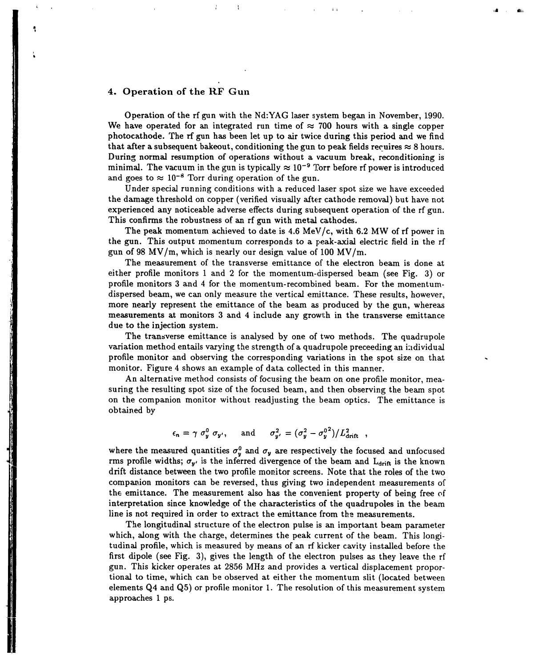# **4.** O**pe***r***ation of the** R**F Gun**

**I** 

**Operation of the rf gun with the Nd:YAG la**\_**er** s**yste**m **be**gan **in November, 1990.** We have operated for an integrated run time of  $\approx$  700 hours with a single copper **photoc**a**thode. The rf gun has been let** u**p to** ai**r twice during this period** an**d we find that** after a subsequent bakeout, conditioning the gun to peak fields requires  $\approx 8$  hours. **Durin**g **nor**mal **resumption of operations without a v**a**cuum break, reconditioning is minimal.** The vacuum in the gun is typically  $\approx 10^{-9}$  Torr before rf power is introduced and goes to  $\approx 10^{-8}$  Torr during operation of the gun.

, i I , , ii ii iii /llil\_

**Under special running cond**i**tions with** a **reduced l**as**er spot size we h**a**ve exc**e**e**d**ed the** damage threshold on copper (verified visually after cathode removal) but have not **experienced** a**ny notice**a**ble** a**dverse effects during su**b**sequent operation of the rf** g**u**n**. This confirms the robustness of** an **rf gun with** m**etal c**a**thodes.**

**The pe**a**k momentum** a**chieved to d**a**te is 4.6** *M***e**V*/***c, with 6.2 MW of rf power in the** g**un. This output mom***e***ntum corresponds to** a p**e**a**k-**a*x***i**al **electric field in the rf** g**un of 98 MV***/*m**, which is** nea**rly our design v**alu**e of 100 MV***/*m**.**

**The measure**m**ent of the transverse e**m**it**ta**nce o**f **the electron be**am **is done** a**t either profile monitors 1** a**nd 2 for the** m**o**m**entu**m**-**d**ispersed be**a**m (see Fi**g**. 3) or profile monitors 3** a**nd 4 for the** m**o**m**entu**m**-reco**m**bined** b**e**am**. For the** m**o**m**entu**m**dispersed bea**m**, we c**an **only m**easu**r**e **the vertic**al **emitt**a**nce. These results, however, more ne**a**rly represent the emitt**a**nce of the bea**m as **produced by the** gu**n, where**as **me**a**surements** a**t monitors 3** a**nd 4 include** a**ny** g**row**l;**h in the tr**a**nsverse e**m**itt**an**ce due to the injection system.**

**The tr**a**n**s**verse e**m**itt**an**ce is** a**n**al**ysed** b**y one of two methods. The qu**a**dr**u**pole** variati**on** me**tho**d e**ntail**s va*x*ying the st**r**ength of a quad**ru**p**o**le pre**c**eeding an i:ldividual p**ro**fil**e** m**o**ni**to**r an**d** observing **the** corr**e**sponding variations in th**e** sp**ot** size on that monitor. Figure 4 shows an example of data collected in this manner.

An **a**lternative method consists of focusing the beam on one profile mo**n**itor, measuring the **r**esulting spot size of the focused beam, and then observing the b**e**a**m** spot on the companion monitor without readjusting the beam optics. The emittance is obtained by

$$
\epsilon_n = \gamma \sigma_y^0 \sigma_{y'}, \quad \text{and} \quad \sigma_{y'}^2 = (\sigma_y^2 - \sigma_y^{0^2})/L_{\text{drift}}^2
$$

where the measured quantities  $\sigma_y^0$  and  $\sigma_y$  are respectively the focused and unfocused **rms** profile widths;  $\sigma_{y'}$  is the inferred divergence of the beam and  $L_{drift}$  is the known drift distance between the two profile monitor screens. Note that the roles of the two **compa**n**ion moni**t**or**s **can be re**v**er**s**ed,** t**h**us **gi**v**ing two independen**t **mea***s***ur**e**m**e**nt**s **o**f t**h**\_ **emitt**a**nce. The me**a**surement** a**l**s**o h**a**s the conve**n**ient** p**roperty of being f**re**e of inter**p**r**e**t**a**tion since knowledge of the char**a**cteri**s**tics of the qu**a**drupoles in the be**a**m line is no**t **required in order to extr**a**ct the emitt**a**nce from t**h**e me**as**ure**m**e**n**ts.**

**The longitudi**nal str**uct**u**re of** t**he** e**lectron pu**ls**e is** an **im**p**ort**a**nt be**a**m p**aram**e**ter **which,** al**ong wit**h **the ch**ar**g**e**, d**ete**rmin**es **th**e **pe**a**k curr**e**nt of** t**he b**ea**m. Thi**s **longi**tudinal profile, which is measured by means of an rf kicker cavity installed before the first dipole (see Fig. 3), gives the length of the electron pulses as they leave the rf gun. This kicker operates at 2856 MHz and provides a vertical displacement proport**ional** t**o time, which c**a**n b**e **ob**serve**d** a**t** e**ith**e**r** t**he momentum** s**lit** (**loc**a**ted be**t**w**ee**n** elements  $Q4$  and  $Q5$ ) or profile monitor 1. The resolution of this measurement system a**pp**r**o**a**che**s 1 **p**s**.**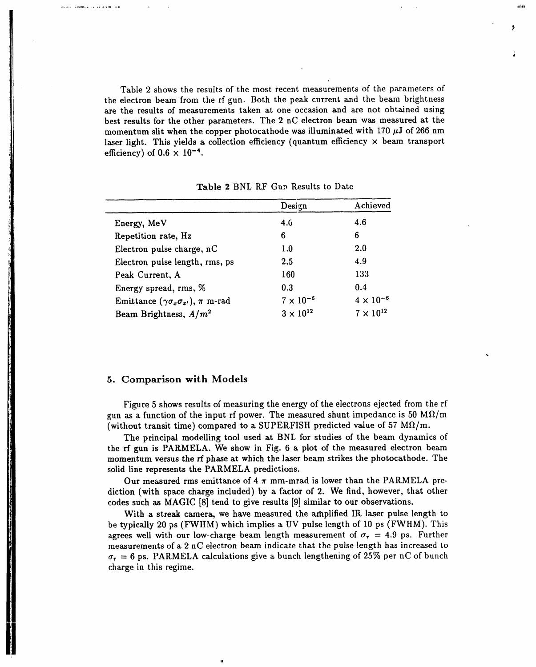Table 2 shows the results of the most recent measurements of the parameters of the electron beam from the rf gun. Both the peak current and the beam brightness a*x*e the results of measurements taken at one occasion and are not obtained using best results for the other parameters. The 2 nC electron beam was measured at the momentum slit when the copper photocathode was illuminated with 170  $\mu$ J of 266 nm laser light. This yields a collection efficiency (quantum efficiency  $\times$  beam transport efficiency) of  $0.6 \times 10^{-4}$ .

.Iii\_**l**Jh

|                                                         | Design             | Achieved           |
|---------------------------------------------------------|--------------------|--------------------|
| Energy, MeV                                             | 4.6                | 4.6                |
| Repetition rate, Hz                                     | 6                  | 6                  |
| Electron pulse charge, nC                               | 1.0                | 2.0                |
| Electron pulse length, rms, ps                          | 2.5                | 4.9                |
| Peak Current, A                                         | 160                | 133                |
| Energy spread, rms, %                                   | 0.3                | 0.4                |
| Emittance $(\gamma \sigma_x \sigma_{x'})$ , $\pi$ m-rad | $7 \times 10^{-6}$ | $4 \times 10^{-6}$ |
| Beam Brightness, $A/m^2$                                | $3 \times 10^{12}$ | $7 \times 10^{12}$ |

Table 2 BNL RF Gun Results to Date

## 5. Compa*r*iso**n w**it**h** Models

and a security and a security of the security of the

Figure 5 shows results o**f** measuring the energy of the electrons ejected from the r**f** gun as a function of the input rf power. The measured shunt impedance is 50  $\text{M}\Omega/\text{m}$ (without transit time) compared to a SUPERFISH predicted value of 57  $M\Omega/m$ .

The principal modelling tool used at BNL for studies of the beam dynamics of the rf gun is PARMELA. We show in Fig. 6 a plot of the measured electron beam mome**n**t**u**m vers**u**s the rf phase at **w**hich the laser beam strikes the photocathode. The solid line represents the PARMELA predictions.

Our measured rms emittance of 4  $\pi$  mm-mrad is lower than the PARMELA prediction (with spa**c**e charge i**n**cluded) by a factor of 2. We find, however, that other codes such as MAGIC IS] tend to give results [9**]** similar to our observations.

With a streak camera, we have measured the amplified IR laser pulse length to be typically 20 ps (FW**H**M) which implies a UV pulse length of 10 ps (FWHM). This agrees well with our low-charge beam length measurement of  $\sigma_r = 4.9$  ps. Further measurements of a 2 n*C* electron beam indicate that the pulse length has increased to  $\sigma_{\tau}$  = 6 ps. PARMELA calculations give a bunch lengthening of 25% per nC of bunch charge in this regime.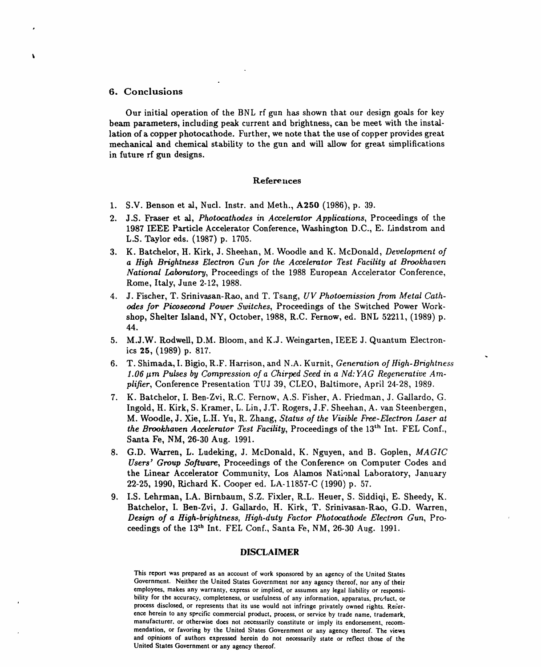## 6. Conclusions

 $\lambda$ 

Our initial operation of the BNL rf gun has shown that our design goals for key beam parameters, including peak current and brightness, can be meet with the installation of a copper photocathode. Further, we note that the use of copper provides great mechanical and chemical stability to the gun and will allow for great simplifications in future rf gun designs.

### References

- 1. S.V. Benson et al, Nucl. Instr. and Meth., A250 (1986), p. 39.
- 2. J.S. Fraser et al, Photocathodes in Accelerator Applications, Proceedings of the 1987 IEEE Particle Accelerator Conference, Washington D.C., E. Lindstrom and L.S. Taylor eds. (1987) p. 1705.
- 3. K. Batchelor, H. Kirk, J. Sheehan, M. Woodle and K. McDonald, Development of a High Brightness Electron Gun for the Accelerator Test Facility at Brookhaven National Laboratory, Proceedings of the 1988 European Accelerator Conference, Rome, Italy, June 2-12, 1988.
- J. Fischer, T. Srinivasan-Rao, and T. Tsang, UV Photoemission from Metal Cath-4. odes for Picosecond Power Switches, Proceedings of the Switched Power Workshop, Shelter Island, NY, October, 1988, R.C. Fernow, ed. BNL 52211, (1989) p. 44.
- 5. M.J.W. Rodwell, D.M. Bloom, and K.J. Weingarten, IEEE J. Quantum Electronics  $25, (1989)$  p. 817.
- 6. T. Shimada, I. Bigio, R.F. Harrison, and N.A. Kurnit, Generation of High-Brightness 1.06 um Pulses by Compression of a Chirped Seed in a Nd: YAG Regenerative Amplifier, Conference Presentation TUJ 39, CLEO, Baltimore, April 24-28, 1989.
- 7. K. Batchelor, I. Ben-Zvi, R.C. Fernow, A.S. Fisher, A. Friedman, J. Gallardo, G. Ingold, H. Kirk, S. Kramer, L. Lin, J.T. Rogers, J.F. Sheehan, A. van Steenbergen, M. Woodle, J. Xie, L.H. Yu, R. Zhang, Status of the Visible Free-Electron Laser at the Brookhaven Accelerator Test Facility, Proceedings of the 13<sup>th</sup> Int. FEL Conf., Santa Fe, NM, 26-30 Aug. 1991.
- 8. G.D. Warren, L. Ludeking, J. McDonald, K. Nguyen, and B. Goplen, MAGIC Users' Group Software, Proceedings of the Conference on Computer Codes and the Linear Accelerator Community, Los Alamos National Laboratory, January 22-25, 1990, Richard K. Cooper ed. LA-11857-C (1990) p. 57.
- 9. I.S. Lehrman, I.A. Birnbaum, S.Z. Fixler, R.L. Heuer, S. Siddiqi, E. Sheedy, K. Batchelor, I. Ben-Zvi, J. Gallardo, H. Kirk, T. Srinivasan-Rao, G.D. Warren, Design of a High-brightness, High-duty Factor Photocathode Electron Gun, Proceedings of the 13th Int. FEL Conf., Santa Fe, NM, 26-30 Aug. 1991.

### **DISCLAIMER**

This report was prepared as an account of work sponsored by an agency of the United States Government. Neither the United States Government nor any agency thereof, nor any of their employees, makes any warranty, express or implied, or assumes any legal liability or responsibility for the accuracy, completeness, or usefulness of any information, apparatus, product, or process disclosed, or represents that its use would not infringe privately owned rights. Reference herein to any specific commercial product, process, or service by trade name, trademark, manufacturer, or otherwise does not necessarily constitute or imply its endorsement, recommendation, or favoring by the United States Government or any agency thereof. The views and opinions of authors expressed herein do not necessarily state or reflect those of the United States Government or any agency thereof.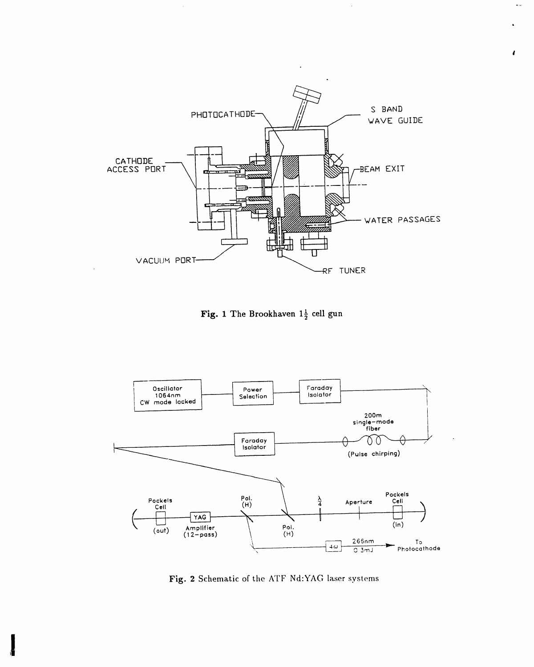

 $\epsilon$ 

u si

Fig. 1 The Brookhaven  $1\frac{1}{2}$  cell gun



Fig. 2 Schematic of the ATF Nd:YAG laser systems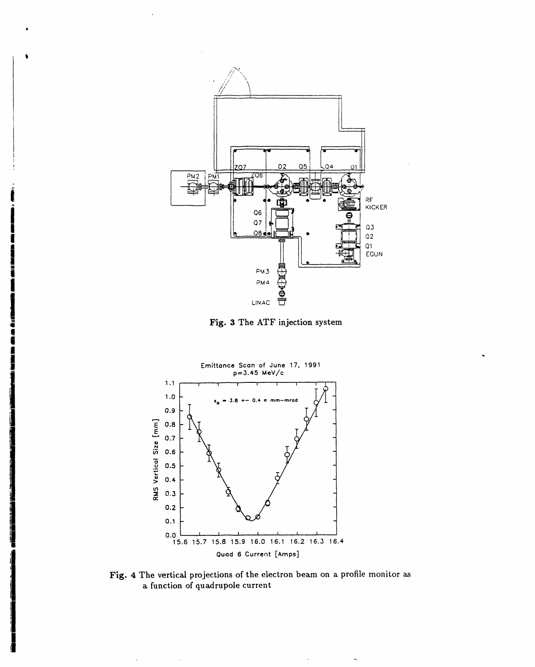

Fig. 3 The ATF injection system



Fig. 4 The vertical projections of the electron beam on a profile monitor as a function of quadrupole current